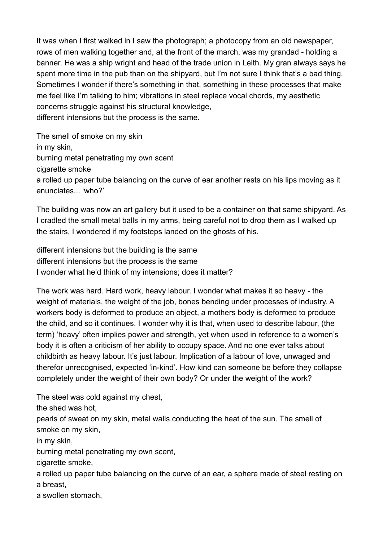It was when I first walked in I saw the photograph; a photocopy from an old newspaper, rows of men walking together and, at the front of the march, was my grandad - holding a banner. He was a ship wright and head of the trade union in Leith. My gran always says he spent more time in the pub than on the shipyard, but I'm not sure I think that's a bad thing. Sometimes I wonder if there's something in that, something in these processes that make me feel like I'm talking to him; vibrations in steel replace vocal chords, my aesthetic concerns struggle against his structural knowledge, different intensions but the process is the same.

The smell of smoke on my skin in my skin, burning metal penetrating my own scent cigarette smoke a rolled up paper tube balancing on the curve of ear another rests on his lips moving as it enunciates... 'who?'

The building was now an art gallery but it used to be a container on that same shipyard. As I cradled the small metal balls in my arms, being careful not to drop them as I walked up the stairs, I wondered if my footsteps landed on the ghosts of his.

different intensions but the building is the same different intensions but the process is the same I wonder what he'd think of my intensions; does it matter?

The work was hard. Hard work, heavy labour. I wonder what makes it so heavy - the weight of materials, the weight of the job, bones bending under processes of industry. A workers body is deformed to produce an object, a mothers body is deformed to produce the child, and so it continues. I wonder why it is that, when used to describe labour, (the term) 'heavy' often implies power and strength, yet when used in reference to a women's body it is often a criticism of her ability to occupy space. And no one ever talks about childbirth as heavy labour. It's just labour. Implication of a labour of love, unwaged and therefor unrecognised, expected 'in-kind'. How kind can someone be before they collapse completely under the weight of their own body? Or under the weight of the work?

The steel was cold against my chest,

the shed was hot,

pearls of sweat on my skin, metal walls conducting the heat of the sun. The smell of smoke on my skin,

in my skin,

burning metal penetrating my own scent,

cigarette smoke,

a rolled up paper tube balancing on the curve of an ear, a sphere made of steel resting on a breast,

a swollen stomach,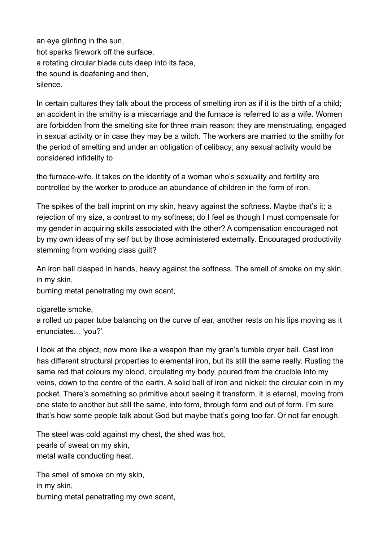an eye glinting in the sun, hot sparks firework off the surface, a rotating circular blade cuts deep into its face, the sound is deafening and then, silence.

In certain cultures they talk about the process of smelting iron as if it is the birth of a child; an accident in the smithy is a miscarriage and the furnace is referred to as a wife. Women are forbidden from the smelting site for three main reason; they are menstruating, engaged in sexual activity or in case they may be a witch. The workers are married to the smithy for the period of smelting and under an obligation of celibacy; any sexual activity would be considered infidelity to

the furnace-wife. It takes on the identity of a woman who's sexuality and fertility are controlled by the worker to produce an abundance of children in the form of iron.

The spikes of the ball imprint on my skin, heavy against the softness. Maybe that's it; a rejection of my size, a contrast to my softness; do I feel as though I must compensate for my gender in acquiring skills associated with the other? A compensation encouraged not by my own ideas of my self but by those administered externally. Encouraged productivity stemming from working class guilt?

An iron ball clasped in hands, heavy against the softness. The smell of smoke on my skin, in my skin,

burning metal penetrating my own scent,

## cigarette smoke,

a rolled up paper tube balancing on the curve of ear, another rests on his lips moving as it enunciates... 'you?'

I look at the object, now more like a weapon than my gran's tumble dryer ball. Cast iron has different structural properties to elemental iron, but its still the same really. Rusting the same red that colours my blood, circulating my body, poured from the crucible into my veins, down to the centre of the earth. A solid ball of iron and nickel; the circular coin in my pocket. There's something so primitive about seeing it transform, it is eternal, moving from one state to another but still the same, into form, through form and out of form. I'm sure that's how some people talk about God but maybe that's going too far. Or not far enough.

The steel was cold against my chest, the shed was hot, pearls of sweat on my skin, metal walls conducting heat.

The smell of smoke on my skin, in my skin, burning metal penetrating my own scent,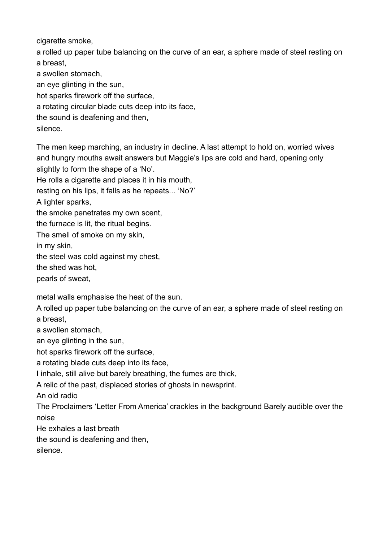cigarette smoke.

a rolled up paper tube balancing on the curve of an ear, a sphere made of steel resting on a breast,

a swollen stomach,

an eye glinting in the sun,

hot sparks firework off the surface,

a rotating circular blade cuts deep into its face,

the sound is deafening and then,

silence.

The men keep marching, an industry in decline. A last attempt to hold on, worried wives and hungry mouths await answers but Maggie's lips are cold and hard, opening only slightly to form the shape of a 'No'.

He rolls a cigarette and places it in his mouth,

resting on his lips, it falls as he repeats... 'No?'

A lighter sparks,

the smoke penetrates my own scent,

the furnace is lit, the ritual begins.

The smell of smoke on my skin,

in my skin,

the steel was cold against my chest,

the shed was hot,

pearls of sweat,

metal walls emphasise the heat of the sun.

A rolled up paper tube balancing on the curve of an ear, a sphere made of steel resting on a breast,

a swollen stomach,

an eye glinting in the sun,

hot sparks firework off the surface,

a rotating blade cuts deep into its face,

I inhale, still alive but barely breathing, the fumes are thick,

A relic of the past, displaced stories of ghosts in newsprint.

An old radio

The Proclaimers 'Letter From America' crackles in the background Barely audible over the noise

He exhales a last breath

the sound is deafening and then,

silence.